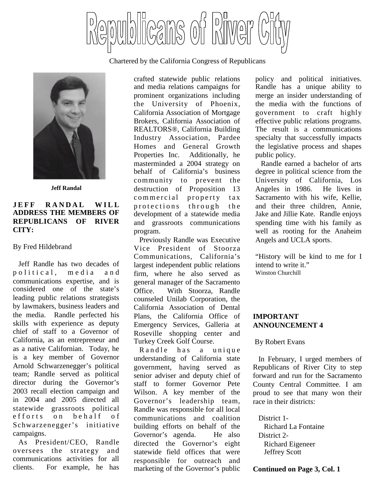

Chartered by the California Congress of Republicans



**Jeff Randal**

# **JEFF RANDAL WILL ADDRESS THE MEMBERS OF REPUBLICANS OF RIVER CITY:**

#### By Fred Hildebrand

Jeff Randle has two decades of political, media and communications expertise, and is considered one of the state's leading public relations strategists by lawmakers, business leaders and the media. Randle perfected his skills with experience as deputy chief of staff to a Governor of California, as an entrepreneur and as a native Californian. Today, he is a key member of Governor Arnold Schwarzenegger's political team; Randle served as political director during the Governor's 2003 recall election campaign and in 2004 and 2005 directed all statewide grassroots political efforts on behalf of Schwarzenegger's initiative campaigns.

As President/CEO, Randle oversees the strategy and communications activities for all clients. For example, he has crafted statewide public relations and media relations campaigns for prominent organizations including the University of Phoenix, California Association of Mortgage Brokers, California Association of REALTORS®, California Building Industry Association, Pardee Homes and General Growth Properties Inc. Additionally, he masterminded a 2004 strategy on behalf of California's business community to prevent the destruction of Proposition 13 commercial property tax protections through the development of a statewide media and grassroots communications program.

Previously Randle was Executive Vice President of Stoorza Communications, California's largest independent public relations firm, where he also served as general manager of the Sacramento Office. With Stoorza, Randle counseled Unilab Corporation, the California Association of Dental Plans, the California Office of Emergency Services, Galleria at Roseville shopping center and Turkey Creek Golf Course.

Randle has a unique understanding of California state government, having served as senior adviser and deputy chief of staff to former Governor Pete Wilson. A key member of the Governor's leadership team, Randle was responsible for all local communications and coalition building efforts on behalf of the Governor's agenda. He also directed the Governor's eight statewide field offices that were responsible for outreach and marketing of the Governor's public policy and political initiatives. Randle has a unique ability to merge an insider understanding of the media with the functions of government to craft highly effective public relations programs. The result is a communications specialty that successfully impacts the legislative process and shapes public policy.

Randle earned a bachelor of arts degree in political science from the University of California, Los Angeles in 1986. He lives in Sacramento with his wife, Kellie, and their three children, Annie, Jake and Jillie Kate. Randle enjoys spending time with his family as well as rooting for the Anaheim Angels and UCLA sports.

"History will be kind to me for I intend to write it." Winston Churchill

# **IMPORTANT ANNOUNCEMENT 4**

#### By Robert Evans

In February, I urged members of Republicans of River City to step forward and run for the Sacramento County Central Committee. I am proud to see that many won their race in their districts:

District 1- Richard La Fontaine District 2- Richard Eigeneer Jeffrey Scott

**Continued on Page 3, Col. 1**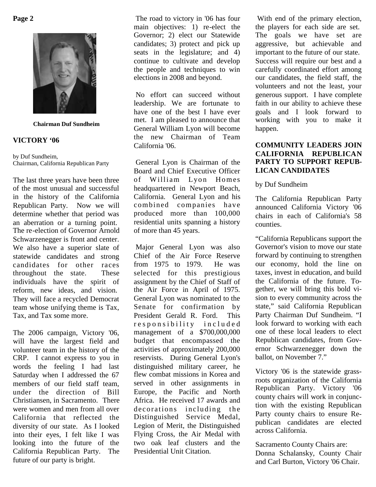

**Chairman Duf Sundheim**

#### **VICTORY '06**

by Duf Sundheim, Chairman, California Republican Party

The last three years have been three of the most unusual and successful in the history of the California Republican Party. Now we will determine whether that period was an aberration or a turning point. The re-election of Governor Arnold Schwarzenegger is front and center. We also have a superior slate of statewide candidates and strong candidates for other races throughout the state. These individuals have the spirit of reform, new ideas, and vision. They will face a recycled Democrat team whose unifying theme is Tax, Tax, and Tax some more.

The 2006 campaign, Victory '06, will have the largest field and volunteer team in the history of the CRP. I cannot express to you in words the feeling I had last Saturday when I addressed the 67 members of our field staff team, under the direction of Bill Christiansen, in Sacramento. There were women and men from all over California that reflected the diversity of our state. As I looked into their eyes, I felt like I was looking into the future of the California Republican Party. The future of our party is bright.

The road to victory in '06 has four main objectives: 1) re-elect the Governor; 2) elect our Statewide candidates; 3) protect and pick up seats in the legislature; and 4) continue to cultivate and develop the people and techniques to win elections in 2008 and beyond.

No effort can succeed without leadership. We are fortunate to have one of the best I have ever met. I am pleased to announce that General William Lyon will become the new Chairman of Team California '06.

General Lyon is Chairman of the Board and Chief Executive Officer of William Lyon Homes headquartered in Newport Beach, California. General Lyon and his combined companies have produced more than 100,000 residential units spanning a history of more than 45 years.

Major General Lyon was also Chief of the Air Force Reserve from 1975 to 1979. He was selected for this prestigious assignment by the Chief of Staff of the Air Force in April of 1975. General Lyon was nominated to the Senate for confirmation by President Gerald R. Ford. This responsibility included management of a \$700,000,000 budget that encompassed the activities of approximately 200,000 reservists. During General Lyon's distinguished military career, he flew combat missions in Korea and served in other assignments in Europe, the Pacific and North Africa. He received 17 awards and decorations including the Distinguished Service Medal, Legion of Merit, the Distinguished Flying Cross, the Air Medal with two oak leaf clusters and the Presidential Unit Citation.

With end of the primary election, the players for each side are set. The goals we have set are aggressive, but achievable and important to the future of our state. Success will require our best and a carefully coordinated effort among our candidates, the field staff, the volunteers and not the least, your generous support. I have complete faith in our ability to achieve these goals and I look forward to working with you to make it happen.

# **COMMUNITY LEADERS JOIN CALIFORNIA REPUBLICAN PARTY TO SUPPORT REPUB-LICAN CANDIDATES**

by Duf Sundheim

The California Republican Party announced California Victory '06 chairs in each of California's 58 counties.

"California Republicans support the Governor's vision to move our state forward by continuing to strengthen our economy, hold the line on taxes, invest in education, and build the California of the future. Together, we will bring this bold vision to every community across the state," said California Republican Party Chairman Duf Sundheim. "I look forward to working with each one of these local leaders to elect Republican candidates, from Governor Schwarzenegger down the ballot, on November 7."

Victory '06 is the statewide grassroots organization of the California Republican Party. Victory '06 county chairs will work in conjunction with the existing Republican Party county chairs to ensure Republican candidates are elected across California.

Sacramento County Chairs are: Donna Schalansky, County Chair and Carl Burton, Victory '06 Chair.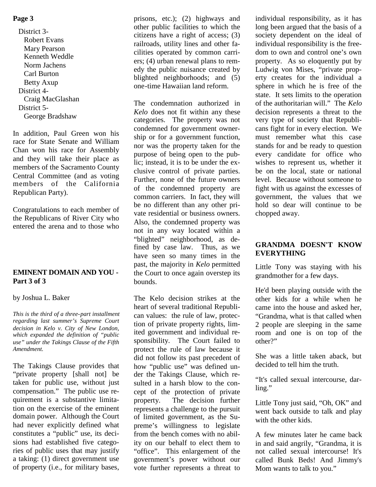# **Page 3**

District 3- Robert Evans Mary Pearson Kenneth Weddle Norm Jachens Carl Burton Betty Axup District 4- Craig MacGlashan District 5- George Bradshaw

In addition, Paul Green won his race for State Senate and William Chan won his race for Assembly and they will take their place as members of the Sacramento County Central Committee (and as voting members of the California Republican Party).

Congratulations to each member of the Republicans of River City who entered the arena and to those who

# **EMINENT DOMAIN AND YOU - Part 3 of 3**

#### by Joshua L. Baker

*This is the third of a three-part installment regarding last summer's Supreme Court decision in Kelo v. City of New London, which expanded the definition of "public use" under the Takings Clause of the Fifth Amendment.*

The Takings Clause provides that "private property [shall not] be taken for public use, without just compensation." The public use requirement is a substantive limitation on the exercise of the eminent domain power. Although the Court had never explicitly defined what constitutes a "public" use, its decisions had established five categories of public uses that may justify a taking: (1) direct government use of property (i.e., for military bases,

prisons, etc.); (2) highways and other public facilities to which the citizens have a right of access; (3) railroads, utility lines and other facilities operated by common carriers; (4) urban renewal plans to remedy the public nuisance created by blighted neighborhoods; and (5) one-time Hawaiian land reform.

The condemnation authorized in *Kelo* does not fit within any these categories. The property was not condemned for government ownership or for a government function, nor was the property taken for the purpose of being open to the public; instead, it is to be under the exclusive control of private parties. Further, none of the future owners of the condemned property are common carriers. In fact, they will be no different than any other private residential or business owners. Also, the condemned property was not in any way located within a "blighted" neighborhood, as defined by case law. Thus, as we have seen so many times in the past, the majority in *Kelo* permitted the Court to once again overstep its bounds.

The Kelo decision strikes at the heart of several traditional Republican values: the rule of law, protection of private property rights, limited government and individual responsibility. The Court failed to protect the rule of law because it did not follow its past precedent of how "public use" was defined under the Takings Clause, which resulted in a harsh blow to the concept of the protection of private property. The decision further represents a challenge to the pursuit of limited government, as the Supreme's willingness to legislate from the bench comes with no ability on our behalf to elect them to "office". This enlargement of the government's power without our vote further represents a threat to

individual responsibility, as it has long been argued that the basis of a society dependent on the ideal of individual responsibility is the freedom to own and control one's own property. As so eloquently put by Ludwig von Mises, "private property creates for the individual a sphere in which he is free of the state. It sets limits to the operation of the authoritarian will." The *Kelo* decision represents a threat to the very type of society that Republicans fight for in every election. We must remember what this case stands for and be ready to question every candidate for office who wishes to represent us, whether it be on the local, state or national level. Because without someone to fight with us against the excesses of government, the values that we hold so dear will continue to be chopped away.

# **GRANDMA DOESN'T KNOW EVERYTHING**

Little Tony was staying with his grandmother for a few days.

He'd been playing outside with the other kids for a while when he came into the house and asked her, "Grandma, what is that called when 2 people are sleeping in the same room and one is on top of the other?"

She was a little taken aback, but decided to tell him the truth.

"It's called sexual intercourse, darling."

Little Tony just said, "Oh, OK" and went back outside to talk and play with the other kids.

A few minutes later he came back in and said angrily, "Grandma, it is not called sexual intercourse! It's called Bunk Beds! And Jimmy's Mom wants to talk to you."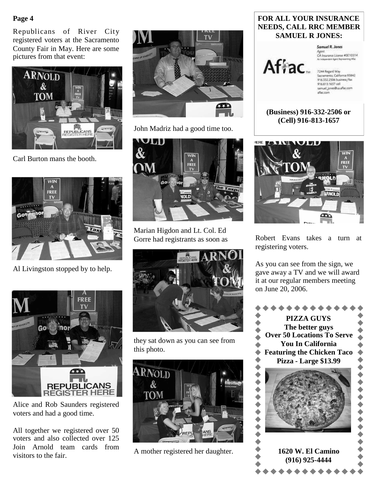# **Page 4**

Republicans of River City registered voters at the Sacramento County Fair in May. Here are some pictures from that event:



Carl Burton mans the booth.



Al Livingston stopped by to help.



Alice and Rob Saunders registered voters and had a good time.

All together we registered over 50 voters and also collected over 125 Join Arnold team cards from visitors to the fair.



John Madriz had a good time too.



Marian Higdon and Lt. Col. Ed Gorre had registrants as soon as



they sat down as you can see from this photo.



A mother registered her daughter.

# **FOR ALL YOUR INSURANCE NEEDS, CALL RRC MEMBER SAMUEL R JONES:**

Samuel R. Jones

Agent.<br>CA Insurance License #0E10314

7244 Regard Way Sacramento, California 95842<br>916.332.2506 business/fax 916.813.1657 cell samuel\_jones@us.aflac.com aflac.com



Afiac.



Robert Evans takes a turn at registering voters.

As you can see from the sign, we gave away a TV and we will award it at our regular members meeting on June 20, 2006.

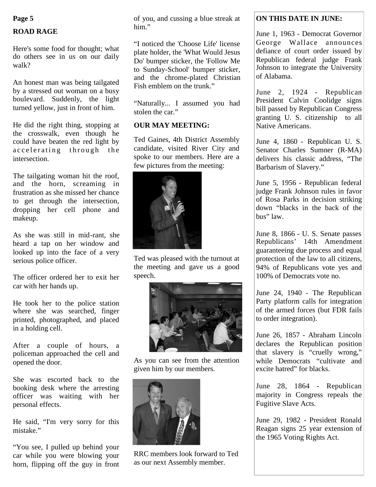#### **Page 5**

# **ROAD RAGE**

Here's some food for thought; what do others see in us on our daily walk?

An honest man was being tailgated by a stressed out woman on a busy boulevard. Suddenly, the light turned yellow, just in front of him.

He did the right thing, stopping at the crosswalk, even though he could have beaten the red light by accelerating through the intersection.

The tailgating woman hit the roof, and the horn, screaming in frustration as she missed her chance to get through the intersection, dropping her cell phone and makeup.

As she was still in mid-rant, she heard a tap on her window and looked up into the face of a very serious police officer.

The officer ordered her to exit her car with her hands up.

He took her to the police station where she was searched, finger printed, photographed, and placed in a holding cell.

After a couple of hours, a policeman approached the cell and opened the door.

She was escorted back to the booking desk where the arresting officer was waiting with her personal effects.

He said, "I'm very sorry for this mistake."

"You see, I pulled up behind your car while you were blowing your horn, flipping off the guy in front of you, and cussing a blue streak at him."

"I noticed the 'Choose Life' license plate holder, the 'What Would Jesus Do' bumper sticker, the 'Follow Me to Sunday-School' bumper sticker, and the chrome-plated Christian Fish emblem on the trunk."

"Naturally... I assumed you had stolen the car."

# **OUR MAY MEETING:**

Ted Gaines, 4th District Assembly candidate, visited River City and spoke to our members. Here are a few pictures from the meeting:



Ted was pleased with the turnout at the meeting and gave us a good speech.



As you can see from the attention given him by our members.



RRC members look forward to Ted as our next Assembly member.

# **ON THIS DATE IN JUNE:**

June 1, 1963 - Democrat Governor George Wallace announces defiance of court order issued by Republican federal judge Frank Johnson to integrate the University of Alabama.

June 2, 1924 - Republican President Calvin Coolidge signs bill passed by Republican Congress granting U. S. citizenship to all Native Americans.

June 4, 1860 - Republican U. S. Senator Charles Sumner (R-MA) delivers his classic address, "The Barbarism of Slavery."

June 5, 1956 - Republican federal judge Frank Johnson rules in favor of Rosa Parks in decision striking down "blacks in the back of the bus" law.

June 8, 1866 - U. S. Senate passes Republicans' 14th Amendment guaranteeing due process and equal protection of the law to all citizens, 94% of Republicans vote yes and 100% of Democrats vote no.

June 24, 1940 - The Republican Party platform calls for integration of the armed forces (but FDR fails to order integration).

June 26, 1857 - Abraham Lincoln declares the Republican position that slavery is "cruelly wrong," while Democrats "cultivate and excite hatred" for blacks.

June 28, 1864 - Republican majority in Congress repeals the Fugitive Slave Acts.

June 29, 1982 - President Ronald Reagan signs 25 year extension of the 1965 Voting Rights Act.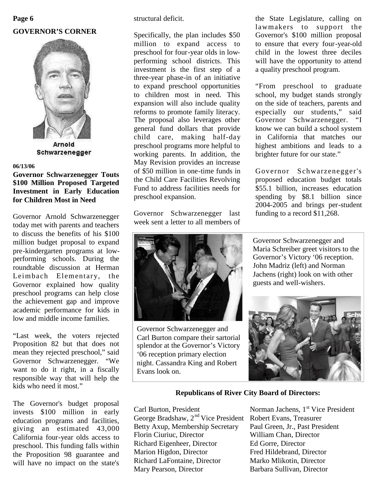# **GOVERNOR'S CORNER Page 6**



Arnold Schwarzenegger

#### **06/13/06**

# **Governor Schwarzenegger Touts \$100 Million Proposed Targeted Investment in Early Education for Children Most in Need**

Governor Arnold Schwarzenegger today met with parents and teachers to discuss the benefits of his \$100 million budget proposal to expand pre-kindergarten programs at lowperforming schools. During the roundtable discussion at Herman Leimbach Elementary, the Governor explained how quality preschool programs can help close the achievement gap and improve academic performance for kids in low and middle income families.

"Last week, the voters rejected Proposition 82 but that does not mean they rejected preschool," said Governor Schwarzenegger. "We want to do it right, in a fiscally responsible way that will help the kids who need it most."

The Governor's budget proposal invests \$100 million in early education programs and facilities, giving an estimated 43,000 California four-year olds access to preschool. This funding falls within the Proposition 98 guarantee and will have no impact on the state's structural deficit.

Specifically, the plan includes \$50 million to expand access to preschool for four-year olds in lowperforming school districts. This investment is the first step of a three-year phase-in of an initiative to expand preschool opportunities to children most in need. This expansion will also include quality reforms to promote family literacy. The proposal also leverages other general fund dollars that provide child care, making half-day preschool programs more helpful to working parents. In addition, the May Revision provides an increase of \$50 million in one-time funds in the Child Care Facilities Revolving Fund to address facilities needs for preschool expansion.

Governor Schwarzenegger last week sent a letter to all members of



Governor Schwarzenegger and Carl Burton compare their sartorial splendor at the Governor's Victory '06 reception primary election night. Cassandra King and Robert Evans look on.

the State Legislature, calling on lawmakers to support the Governor's \$100 million proposal to ensure that every four-year-old child in the lowest three deciles will have the opportunity to attend a quality preschool program.

"From preschool to graduate school, my budget stands strongly on the side of teachers, parents and especially our students," said Governor Schwarzenegger. "I know we can build a school system in California that matches our highest ambitions and leads to a brighter future for our state."

Governor Schwarzenegger's proposed education budget totals \$55.1 billion, increases education spending by \$8.1 billion since 2004-2005 and brings per-student funding to a record \$11,268.

Governor Schwarzenegger and Maria Schreiber greet visitors to the Governor's Victory '06 reception. John Madriz (left) and Norman Jachens (right) look on with other guests and well-wishers.



# **Republicans of River City Board of Directors:**

Carl Burton, President Norman Jachens, 1<sup>st</sup> Vice President George Bradshaw, 2<sup>nd</sup> Vice President Robert Evans, Treasurer Betty Axup, Membership Secretary Paul Green, Jr., Past President Florin Ciuriuc, Director William Chan, Director Richard Eigenheer, Director Ed Gorre, Director Marion Higdon, Director Fred Hildebrand, Director Richard LaFontaine, Director Marko Mlikotin, Director Mary Pearson, Director Barbara Sullivan, Director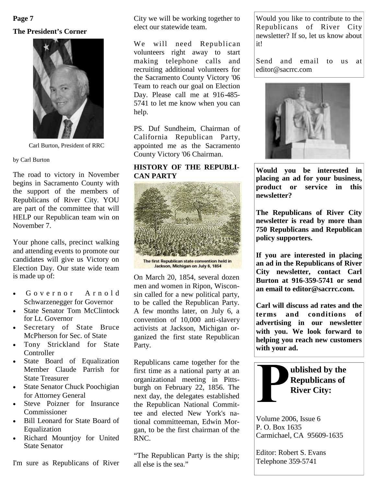# **The President's Corner Page 7**



Carl Burton, President of RRC

by Carl Burton

The road to victory in November begins in Sacramento County with the support of the members of Republicans of River City. YOU are part of the committee that will HELP our Republican team win on November 7.

Your phone calls, precinct walking and attending events to promote our candidates will give us Victory on Election Day. Our state wide team is made up of:

- Governor Arnold Schwarzenegger for Governor
- State Senator Tom McClintock for Lt. Governor
- Secretary of State Bruce McPherson for Sec. of State
- Tony Strickland for State **Controller**
- State Board of Equalization Member Claude Parrish for State Treasurer
- State Senator Chuck Poochigian for Attorney General
- Steve Poizner for Insurance Commissioner
- Bill Leonard for State Board of Equalization
- Richard Mountjoy for United State Senator

I'm sure as Republicans of River

City we will be working together to elect our statewide team.

We will need Republican volunteers right away to start making telephone calls and recruiting additional volunteers for the Sacramento County Victory '06 Team to reach our goal on Election Day. Please call me at 916-485- 5741 to let me know when you can help.

PS. Duf Sundheim, Chairman of California Republican Party, appointed me as the Sacramento County Victory '06 Chairman.

# **HISTORY OF THE REPUBLI-CAN PARTY**



On March 20, 1854, several dozen men and women in Ripon, Wisconsin called for a new political party, to be called the Republican Party. A few months later, on July 6, a convention of 10,000 anti-slavery activists at Jackson, Michigan organized the first state Republican Party.

Republicans came together for the first time as a national party at an organizational meeting in Pittsburgh on February 22, 1856. The next day, the delegates established the Republican National Committee and elected New York's national committeeman, Edwin Morgan, to be the first chairman of the RNC.

"The Republican Party is the ship; all else is the sea."

Would you like to contribute to the Republicans of River City newsletter? If so, let us know about it!

Send and email to us at editor@sacrrc.com



**Would you be interested in placing an ad for your business, product or service in this newsletter?**

**The Republicans of River City newsletter is read by more than 750 Republicans and Republican policy supporters.**

**If you are interested in placing an ad in the Republicans of River City newsletter, contact Carl Burton at 916-359-5741 or send an email to editor@sacrrc.com.**

**Carl will discuss ad rates and the terms and conditions of advertising in our newsletter with you. We look forward to helping you reach new customers with your ad.**



Volume 2006, Issue 6 P. O. Box 1635 Carmichael, CA 95609-1635

Editor: Robert S. Evans Telephone 359-5741